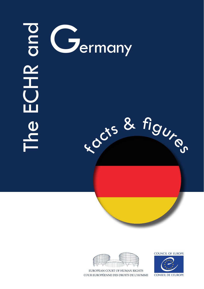# ECHR Cermany<br>ECH<br>CHR des des 8  $x^{\alpha}$  & figures



EUROPEAN COURT OF HUMAN RIGHTS COUR EUROPÉENNE DES DROITS DE L'HOMME **COUNCIL OF EUROPE** 

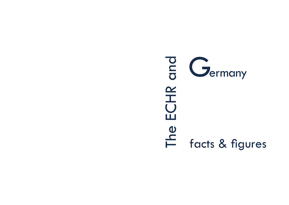# The ECHR and  $\frac{d}{d}$   $G$  ermany ECHR<sup>(</sup> edda<br>Financies & figures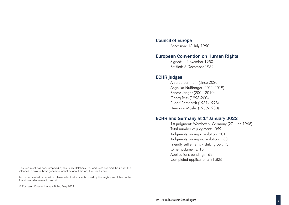#### Council of Europe

Accession: 13 July 1950

#### European Convention on Human Rights

Signed: 4 November 1950 Ratified: 5 December 1952

#### ECHR judges

Anja Seibert-Fohr (since 2020) Angelika Nußberger (2011-2019) Renate Jaeger (2004-2010) Georg Ress (1998-2004) Rudolf Bernhardt (1981-1998) Hermann Mosler (1959-1980)

#### ECHR and Germany at 1<sup>st</sup> January 2022

1st judgment: Wemhoff v. Germany (27 June 1968) Total number of judgments: 359 Judgments finding a violation: 201 Judgments finding no violation: 130 Friendly settlements / striking out: 13 Other judgments: 15 Applications pending: 168 Completed applications: 31,826

This document has been prepared by the Public Relations Unit and does not bind the Court. It is intended to provide basic general information about the way the Court works.

For more detailed information, please refer to documents issued by the Registry available on the Court's website www.echr.coe.int.

© European Court of Human Rights, May 2022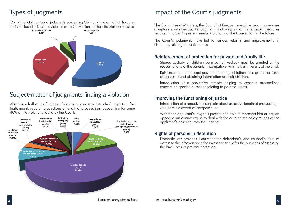Out of the total number of judgments concerning Germany, in over half of the cases The Court found at least one violation of the Convention and held the State responsible. The Committee of Ministers, the Council of Europe's executive organ, supervises



## Subject-matter of judgments finding a violation

About one half of the findings of violations concerned Article 6 (right to a fair trial), mainly regarding questions of length of proceedings, accounting for some 40% of the violations found by the Court.



# Types of judgments Impact of the Court's judgments

compliance with the Court's judgments and adoption of the remedial measures required in order to prevent similar violations of the Convention in the future.

The Court's judgments have led to various reforms and improvements in Germany, relating in particular to:

#### Reinforcement of protection for private and family life

Shared custody of children born out of wedlock must be granted at the request of one of the parents, if compatible with the best interests of the child.

Reinforcement of the legal position of biological fathers as regards the rights of access to and obtaining information on their children.

Introduction of a preventive remedy helping to expedite proceedings concerning specific questions relating to parental rights.

#### Improving the functioning of justice

Introduction of a remedy to complain about excessive length of proceedings, with possible award of compensation.

Where the applicant's lawyer is present and able to represent him or her, an appeal court cannot refuse to deal with the case on the sole grounds of the applicant's absence from the hearing.

#### Rights of persons in detention

Domestic law provides clearly for the defendant's and counsel's right of access to the information in the investigation file for the purposes of assessing the lawfulness of pre-trial detention.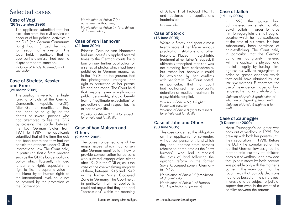### Selected cases

#### Case of Vogt (26 September 1995)

The applicant submitted that her exclusion from the civil service on account of her political activities in the DKP (the German Communist Party) had infringed her right to freedom of expression. The Court held, in particular, that the applicant's dismissal had been a disproportionate sanction. *Violation of Article 10 (freedom of expression)*

#### Case of Streletz, Kessler and Krenz (22 March 2001)

The applicants were former highranking officials of the German Democratic Republic (GDR). After German reunification they had been found guilty of the deaths of several persons who had attempted to flee the GDR by crossing the border between the two German States from 1971 to 1989. The applicants submitted that at the time the acts had been committed they had not constituted offences under GDR or international law. The Court held, in particular, that a State practice such as the GDR's border-policing policy, which flagrantly infringed fundamental rights, especially the right to life, the supreme value in the hierarchy of human rights at the international level, could not be covered by the protection of the Convention.

*No violation of Article 7 (no punishment without law) No violation of Article 14 (prohibition of discrimination)*

#### Case of von Hannover (24 June 2004)

Princess Caroline von Hannover had unsuccessfully applied several times to the German courts for a ban on any further publication of a series of photos which had been published in German magazines in the 1990s, on the grounds that the photographs infringed her right to protection of her private life and her image. The Court held that anyone, even a well-known public personality, should benefit from a "legitimate expectation" of protection of, and respect for, his or her private life.

*Violation of Article 8 (right to respect for private and family life)*

#### Case of Von Maltzan and **Others** (2 March 2005)

The cases concerned one of the major issues which had arisen after German reunification: how to provide compensation for persons who suffered expropriation either after 1949 in the GDR or, as is the case of the overwhelming majority of them, between 1945 and 1949 in the former Soviet Occupied Zone in Germany. The Court held, in particular, that the applicants could not argue that they had had "possessions" within the meaning

of Article 1 of Protocol No. 1, and declared the applications inadmissible.

*Inadmissible*

#### Case of Storck (16 June 2005)

Waltraud Storck had spent almost twenty years of her life in various psychiatric institutions and other hospitals. Placed in psychiatric treatment at her father's request, it ultimately transpired that she was not suffering from schizophrenia, but rather her behaviour could be explained by her conflicts with her family. The Court noted, in particular, that no court had authorised the applicant's detention or medical treatment in a psychiatric hospital.

*Violation of Article 5 § 1 (right to liberty and security) Violation of Article 8 (right to respect for private and family life)*

#### Case of Jahn and Others (30 June 2005)

This case concerned the obligation on the applicants to surrender, without compensation, land which they had inherited from persons referred to at the time as the "new farmers", who had purchased the plots of land following the agrarian reform in the former Soviet Occupied Zone in Germany in 1945.

*No violation of Article 14 (prohibition of discrimination) No violation of Article 1 of Protocol No. 1 (protection of property)*

#### Case of Jalloh (11 July 2006)

In 1993 the police had administered an emetic to Abu Bakah Jalloh in order to force him to regurgitate a small bag of cocaine which he had swallowed at the time of his arrest. He had subsequently been convicted of drug-trafficking. The Court held, in particular, that the German authorities had gravely interfered with the applicant's physical and mental integrity by forcing him, against his will, to regurgitate in order to gather evidence which they could have obtained by less intrusive methods. Furthermore, the use of the evidence in question had rendered his trial as a whole unfair.

*Violation of Article 3 (prohibition of inhuman or degrading treatment) Violation of Article 6 (right to a fair trial)*

#### Case of Zaunegger (9 December 2009)

Horst Zaunegger's daughter was born out of wedlock in 1995. She grew up with both her parents until their separation in 1998. Before the ECHR he complained of the fact that German law assigned the mother sole custody of children born out of wedlock, and provided that joint custody by both parents was possible only with the mother's consent. The main point, for the Court, was that custody decisions had to be based on the child's best interests and be subject to judicial supervision even in the event of a conflict between the parents.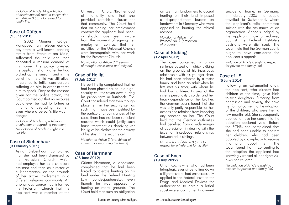*Violation of Article 14 (prohibition of discrimination) read in conjunction with Article 8 (right to respect for family life)*

#### Case of Gäfgen (1 June 2010)

In 2002 Magnus Gäfgen kidnapped an eleven-year-old boy from a well-known banking family from Frankfurt am Main, suffocated the child and then deposited a ransom demand at his home. The police arrested the applicant shortly after he had picked up the ransom, and in the belief that the child was still alive, threatened to inflict considerable suffering on him in order to force him to speak. Despite the reasons given for the police action, the Court pointed out that no recourse could ever be had to torture or inhuman or degrading treatment even where a person's life was in danger.

*Violation of Article 3 (prohibition of inhuman or degrading treatment) No violation of Article 6 (right to a fair trial)*

#### Case of Siebenhaar (3 February 2011)

Astrid Siebenhaar complained that she had been dismissed by the Protestant Church, which had employed her as a childcare assistant and then as director of a kindergarten, on the grounds of her active involvement in a different religious community. An anonymous source had informed the Protestant Church that the applicant was a member of the

Universal Church/Brotherhood of Humanity and that she provided catechism classes for that community. The Court held that on signing her employment contract the applicant had been, or should have been, aware from the moment of signing her employment contract that her activities for the Universal Church were incompatible with her work for the Protestant Church.

*No violation of Article 9 (freedom of thought, conscience and religion)*

#### Case of Hellig (7 July 2011)

Herbert Hellig complained that he had been placed naked in a highsecurity cell for seven days during his prison term in Butzbach. The Court considered that even though placement in the security cell as such might have been justified by the particular circumstances of the case, there had not been sufficient reasons which could justify such harsh treatment as depriving Mr Hellig of his clothes for the entirety of his stay in the security cell.

*Violation of Article 3 (prohibition of inhuman or degrading treatment)*

#### Case of Herrmann (26 June 2012)

Günter Herrmann, a landowner, complained that he had been forced to tolerate hunting on his land under the Federal Hunting Law (Bundesjagdgesetz), even though he was opposed to hunting on moral grounds. The Court held that such an obligation

on German landowners to accept hunting on their land imposed a disproportionate burden on landowners in Germany who were opposed to hunting for ethical reasons.

*Violation of Article 1 of Protocol No. 1 (protection of property)* 

#### Case of Stübing (12 April 2012)

The case concerned a prison sentence passed on Patrick Stübing on the grounds of his incestuous relationship with his younger sister. He had been adopted by a foster family, and been an adult when he first met his sister, with whom he had four children. In view of the sister's personality disorder and her heavy dependence on her brother, the German courts found that she was only partly responsible for her actions and refrained from imposing any sanction on her. The Court held that the German authorities had benefited from a wide margin of appreciation in dealing with the issue of incestuous relationships between adult siblings.

*No violation of Article 8 (right to respect for private and family life)*

#### Case of Koch (19 July 2012)

Ulrich Koch's wife, who had been tetraplegic ever since falling down a flight of stairs, had unsuccessfully applied to the Federal Institute for Drugs and Medical Devices for authorisation to obtain a lethal substance enabling her to commit

suicide at home, in Germany. In February 2005 the couple travelled to Switzerland, where the applicant's wife committed suicide with the assistance of an organisation. Appeals lodged by the applicant, now a widower, against the Federal Institute's decisions were dismissed. The Court held that the German courts ought to have considered the applicant's appeals.

*Violation of Article 8 (right to respect for private and family life)*

#### Case of I.S. (5 June 2014)

Following an extramarital affair, the applicant, who already had children at the time, gave birth to twin daughters. Suffering from depression and anxiety, she gave her formal consent to the adoption of the children, who were then a few months old. She subsequently applied to have her consent to the adoption declared void. Before the ECHR, she complained that she had been unable to contact her children, who had been adopted by a couple, or to receive information about them. The Court found that in consenting to the adoption the applicant had knowingly waived all her rights *visà-vis* her children.

*No violation of Article 8 (right to respect for private and family life)*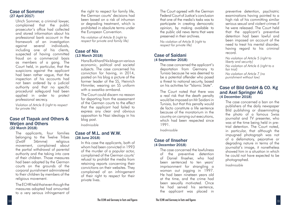#### Case of Sommer (27 April 2017)

Ulrich Sommer, a criminal lawyer, complained that the public prosecutor's office had collected and stored information about his professional bank account in the framework of an investigation against several individuals, including one of his clients, suspected of having committed fraud on a commercial basis as members of a gang. The Court held, in particular, that the suspicions against the applicant had been rather vague, that the inspection of his accounts had not been ordered by a judicial authority and that no specific procedural safeguard had been applied in order to protect professional secrecy.

*Violation of Article 8 (right to respect for private life)* 

#### Case of Tlapak and Others & Wetjen and Others (22 March 2018)

The applicants, four families belonging to the Twelve Tribes (Zwölf Stämme) religious movement, complained about the partial withdrawal of parental authority and the taking into care of their children. Those measures had been adopted by the German courts on the grounds of the corporal punishment administered to their children by members of the religious movement.

The ECHR held that even though the measures adopted had amounted to a very serious infringement of the right to respect for family life, the German courts' decisions had been based on a risk of inhuman or degrading treatment, which is prohibited in absolute terms under the European Convention.

*No violation of Article 8 (right to respect for private and family life)*

#### Case of Nix (13 March 2018)

Hans Burkhard Nix blogs on various economic, political and societal subjects. The case concerned his conviction for having, in 2014, posted on his blog a picture of the former leader of the SS, Heinrich Himmler, wearing an SS uniform with a swastika armband.

The Court could discern no reason for departing from the assessment of the German courts to the effect that the applicant had failed to express any clear and obvious opposition to Nazi ideology in his blog post.

*Inadmissible*

#### Case of M.L. and W.W. (28 June 2018)

In this case the applicants, both of whom had been convicted in 1993 of the murder of a popular actor, complained of the German courts' refusal to prohibit the media from retaining reports concerning their convictions on their websites. They complained of an infringement of their right to respect for their private lives.

The Court agreed with the German Federal Court of Justice's conclusion that one of the media's tasks was to participate in creating democratic opinion, by making available to the public old news items that were preserved in their archives.

*No violation of Article 8 (right to respect for private life)*

#### Case of Saidani (4 September 2018)

The case concerned the applicant's deportation from Germany to Tunisia because he was deemed to be a potential offender who posed a threat to national security, based on his activities for "Islamic State".

The Court noted that there was a real risk that the death penalty would be imposed on Mr Saidani in Tunisia, but that this penalty would de facto constitute a life sentence because of the moratorium in the country on carrying out executions, which had been respected since 1991.

*Inadmissible*

#### Case of Ilnseher (4 December 2018)

The case concerned the lawfulness of the preventive detention of Daniel Ilnseher, who had been sentenced to ten years' imprisonment for strangling a woman out jogging in 1997. He had been nineteen years old at the time, and the crime had been sexually motivated. Once he had served his sentence, the applicant was placed in

preventive detention, psychiatric examinations having pointed to a high risk of his committing similar serious sexual and violent crimes if he were released. The Court held that the applicant's preventive detention had been lawful and been imposed on account of the need to treat his mental disorder, having regard to his criminal record.

*No violation of Article 5 (right to liberty and security) No violation of Article 6 (right to a fair trial) No violation of Article 7 (no punishment without law)*

#### Case of Bild GmbH & CO. Kg and Axel Springer AG (4 December 2018)

The case concerned a ban on the publishers of the daily newspaper Bild publishing or disseminating the photo of a famous Swiss journalist and TV presenter, who was at the time being held in pretrial detention. The Court noted, in particular, that although the impugned photograph was not of a defamatory, pejorative or degrading nature in terms of the journalist's image, it nonetheless showed him in a situation in which he could not have expected to be photographed.

*Inadmissible*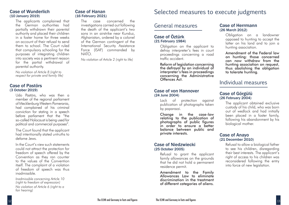#### Case of Wunderlich (10 January 2019)

The applicants complained that the German authorities had partially withdrawn their parental authority and placed their children in a foster home for three weeks on account of their refusal to send them to school. The Court ruled that compulsory schooling for the purposes of integrating children into society was a pertinent reason for the partial withdrawal of parental authority.

*No violation of Article 8 (right to respect for private and family life)*

#### Case of Pastörs (3 October 2019)

Udo Pastörs, who was then a member of the regional parliament of Mecklenburg-Western Pomerania, had complained of his criminal conviction for stating in a speech before parliament that the "the so-called Holocaust is being used for political and commercial purposes".

The Court found that the applicant had intentionally stated untruths to defame Jews.

In the Court's view such statements could not attract the protection for freedom of speech offered by the Convention as they ran counter to the values of the Convention itself. The complaint of a violation of freedom of speech was thus inadmissible.

*Inadmissible concerning Article 10 (right to freedom of expression) No violation of Article 6 (right to a fair hearing)*

The case concerned the investigations carried out following the death of the applicant's two sons in an airstrike near Kunduz, Afghanistan, ordered by a colonel of the German contingent of the International Security Assistance Force (ISAF) commanded by NATO.

*No violation of Article 2 (right to life)*

# Case of Hanan<br>
(16 February 2021)<br>
Selected measures to execute judgments

#### General measures

#### Case of Öztürk (21 February 1984)

Obligation on the applicant to defray interpreter's fees in court proceedings concerning a road traffic accident.

Reform of legislation concerning the defrayal by an individual of interpreter's fees in proceedings concerning the Administrative Offences Act.

#### Case of von Hannover (24 June 2004)

Lack of protection against publication of photographs taken by paparazzi.

Change in the case-law relating to the publication of photographs of public figures in order to ensure a better balance between public and private interests.

#### Case of Niedzwiecki (25 October 2005)

Refusal to grant the applicant family allowances on the grounds that he did not hold a permanent residence permit.

Amendment to the Family Allowances Law to eliminate discrimination in the treatment of different categories of aliens.

#### Case of Herrmann (26 March 2012)

Obligation on a landowner opposed to hunting to accept the latter on his land and to join a hunting association.

Amendment of the Federal law on hunting: those concerned can now withdraw from the hunting association on request, thus abolishing the obligation to tolerate hunting.

#### Individual measures

#### Case of Görgülü (26 February 2004)

The applicant obtained exclusive custody of his child, who was born out of wedlock and had initially been placed in a foster family, following his abandonment by his biological mother.

#### Case of Anayo (21 December 2010)

Refusal to allow a biological father to see his children, disregarding their best interests. The applicant's right of access to his children was reconsidered following the entry into force of new legislation.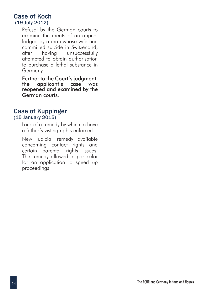#### Case of Koch (19 July 2012)

Refusal by the German courts to examine the merits of an appeal lodged by a man whose wife had committed suicide in Switzerland, after having unsuccessfully attempted to obtain authorisation to purchase a lethal substance in Germany.

Further to the Court's judgment, the applicant's case was reopened and examined by the German courts.

#### Case of Kuppinger (15 January 2015)

Lack of a remedy by which to have a father's visting rights enforced.

New judicial remedy available concerning contact rights and certain parental rights issues. The remedy allowed in particular for an application to speed up proceedings